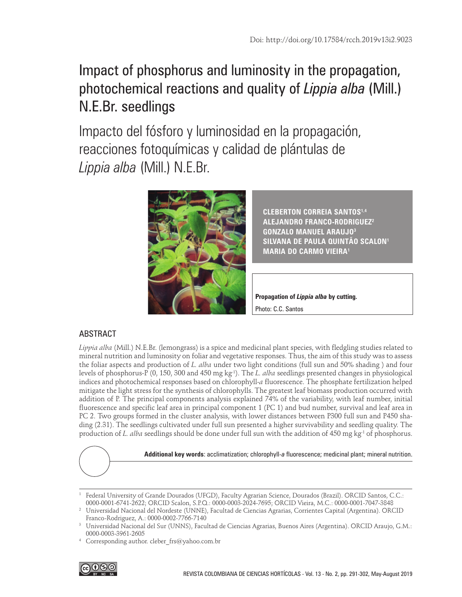# Impact of phosphorus and luminosity in the propagation, photochemical reactions and quality of *Lippia alba* (Mill.) N.E.Br. seedlings

Impacto del fósforo y luminosidad en la propagación, reacciones fotoquímicas y calidad de plántulas de *Lippia alba* (Mill.) N.E.Br.



**CLEBERTON CORREIA SANTOS1,4 ALEJANDRO FRANCO-RODRIGUEZ2 GONZALO MANUEL ARAUJO3 SILVANA DE PAULA QUINTÃO SCALON1 MARIA DO CARMO VIEIRA1**

**Propagation of** *Lippia alba* **by cutting.**  Photo: C.C. Santos

# ABSTRACT

*Lippia alba* (Mill.) N.E.Br. (lemongrass) is a spice and medicinal plant species, with fledgling studies related to mineral nutrition and luminosity on foliar and vegetative responses. Thus, the aim of this study was to assess the foliar aspects and production of *L. alba* under two light conditions (full sun and 50% shading ) and four levels of phosphorus-P (0, 150, 300 and 450 mg kg-1). The *L. alba* seedlings presented changes in physiological indices and photochemical responses based on chlorophyll-*a* fluorescence. The phosphate fertilization helped mitigate the light stress for the synthesis of chlorophylls. The greatest leaf biomass production occurred with addition of P. The principal components analysis explained 74% of the variability, with leaf number, initial fluorescence and specific leaf area in principal component 1 (PC 1) and bud number, survival and leaf area in PC 2. Two groups formed in the cluster analysis, with lower distances between P300 full sun and P450 shading (2.31). The seedlings cultivated under full sun presented a higher survivability and seedling quality. The production of *L. alba* seedlings should be done under full sun with the addition of 450 mg kg<sup>-1</sup> of phosphorus.



**Additional key words**: acclimatization; chlorophyll-*a* fluorescence; medicinal plant; mineral nutrition.

Corresponding author. cleber\_frs@yahoo.com.br



<sup>1</sup> Federal University of Grande Dourados (UFGD), Faculty Agrarian Science, Dourados (Brazil). ORCID Santos, C.C.: [0000-0001-6741-2622;](https://orcid.org/0000-0001-6741-2622) ORCID Scalon, S.P.Q.: [0000-0003-2024-7695](https://orcid.org/0000-0003-2024-7695); ORCID Vieira, M.C.: [0000-0001-7047-3848](https://orcid.org/0000-0001-7047-3848)

<sup>2</sup> Universidad Nacional del Nordeste (UNNE), Facultad de Ciencias Agrarias, Corrientes Capital (Argentina). ORCID Franco-Rodriguez, A.: [0000-0002-7766-7140](https://orcid.org/0000-0002-7766-7140)

<sup>3</sup> Universidad Nacional del Sur (UNNS), Facultad de Ciencias Agrarias, Buenos Aires (Argentina). ORCID Araujo, G.M.: [0000-0003-3961-2605](http://orcid.org/0000-0003-3961-2605)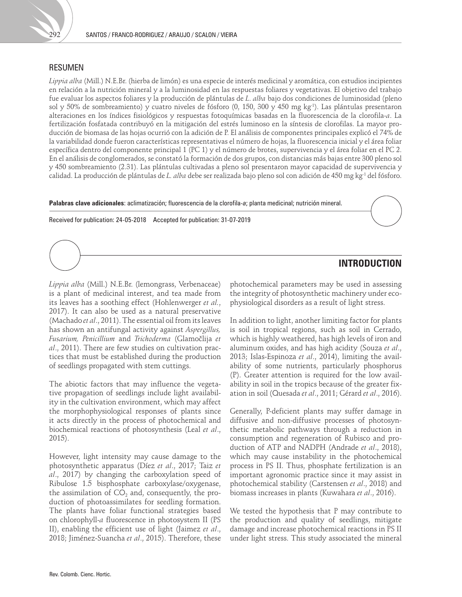

### RESUMEN

*Lippia alba* (Mill.) N.E.Br. (hierba de limón) es una especie de interés medicinal y aromática, con estudios incipientes en relación a la nutrición mineral y a la luminosidad en las respuestas foliares y vegetativas. El objetivo del trabajo fue evaluar los aspectos foliares y la producción de plántulas de *L*. *alba* bajo dos condiciones de luminosidad (pleno sol y 50% de sombreamiento) y cuatro niveles de fósforo (0, 150, 300 y 450 mg kg-1). Las plántulas presentaron alteraciones en los índices fisiológicos y respuestas fotoquímicas basadas en la fluorescencia de la clorofila-*a*. La fertilización fosfatada contribuyó en la mitigación del estrés luminoso en la síntesis de clorofilas. La mayor producción de biomasa de las hojas ocurrió con la adición de P. El análisis de componentes principales explicó el 74% de la variabilidad donde fueron características representativas el número de hojas, la fluorescencia inicial y el área foliar específica dentro del componente principal 1 (PC 1) y el número de brotes, supervivencia y el área foliar en el PC 2. En el análisis de conglomerados, se constató la formación de dos grupos, con distancias más bajas entre 300 pleno sol y 450 sombreamiento (2.31). Las plántulas cultivadas a pleno sol presentaron mayor capacidad de supervivencia y calidad. La producción de plántulas de *L. alba* debe ser realizada bajo pleno sol con adición de 450 mg kg-1 del fósforo.

**Palabras clave adicionales**: aclimatización; fluorescencia de la clorofila-*a*; planta medicinal; nutrición mineral.

Received for publication: 24-05-2018 Accepted for publication: 31-07-2019

## **INTRODUCTION**

*Lippia alba* (Mill.) N.E.Br. (lemongrass, Verbenaceae) is a plant of medicinal interest, and tea made from its leaves has a soothing effect (Hohlenwerger *et al.*, 2017). It can also be used as a natural preservative (Machado *et al*., 2011). The essential oil from its leaves has shown an antifungal activity against *Aspergillus, Fusarium, Penicillium* and *Trichoderma* (Glamočlija *et al*., 2011). There are few studies on cultivation practices that must be established during the production of seedlings propagated with stem cuttings.

The abiotic factors that may influence the vegetative propagation of seedlings include light availability in the cultivation environment, which may affect the morphophysiological responses of plants since it acts directly in the process of photochemical and biochemical reactions of photosynthesis (Leal *et al*., 2015).

However, light intensity may cause damage to the photosynthetic apparatus (Díez *et al*., 2017; Taiz *et al*., 2017) by changing the carboxylation speed of Ribulose 1.5 bisphosphate carboxylase/oxygenase, the assimilation of  $CO<sub>2</sub>$  and, consequently, the production of photoassimilates for seedling formation. The plants have foliar functional strategies based on chlorophyll-*a* fluorescence in photosystem II (PS II), enabling the efficient use of light (Jaimez *et al*., 2018; Jiménez-Suancha *et al*., 2015). Therefore, these

photochemical parameters may be used in assessing the integrity of photosynthetic machinery under ecophysiological disorders as a result of light stress.

In addition to light, another limiting factor for plants is soil in tropical regions, such as soil in Cerrado, which is highly weathered, has high levels of iron and aluminum oxides, and has high acidity (Souza *et al*., 2013; Islas-Espinoza *et al*., 2014), limiting the availability of some nutrients, particularly phosphorus (P). Greater attention is required for the low availability in soil in the tropics because of the greater fixation in soil (Quesada *et al*., 2011; Gérard *et al*., 2016).

Generally, P-deficient plants may suffer damage in diffusive and non-diffusive processes of photosynthetic metabolic pathways through a reduction in consumption and regeneration of Rubisco and production of ATP and NADPH (Andrade *et al*., 2018), which may cause instability in the photochemical process in PS II. Thus, phosphate fertilization is an important agronomic practice since it may assist in photochemical stability (Carstensen *et al*., 2018) and biomass increases in plants (Kuwahara *et al*., 2016).

We tested the hypothesis that P may contribute to the production and quality of seedlings, mitigate damage and increase photochemical reactions in PS II under light stress. This study associated the mineral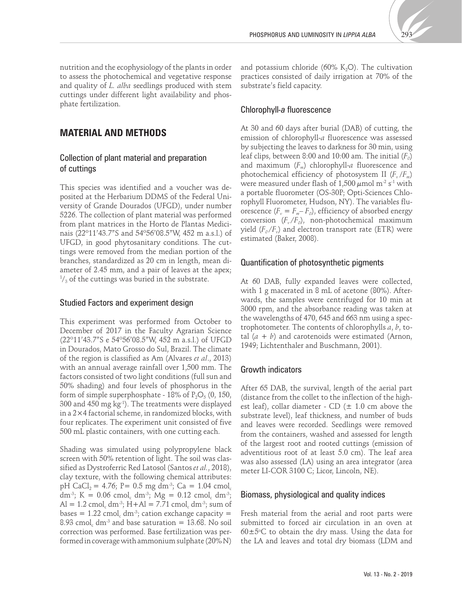

nutrition and the ecophysiology of the plants in order to assess the photochemical and vegetative response and quality of *L. alba* seedlings produced with stem cuttings under different light availability and phosphate fertilization.

## **MATERIAL AND METHODS**

## Collection of plant material and preparation of cuttings

This species was identified and a voucher was deposited at the Herbarium DDMS of the Federal University of Grande Dourados (UFGD), under number 5226. The collection of plant material was performed from plant matrices in the Horto de Plantas Medicinais (22º11'43.7"S and 54º56'08.5"W, 452 m a.s.l.) of UFGD, in good phytosanitary conditions. The cuttings were removed from the median portion of the branches, standardized as 20 cm in length, mean diameter of 2.45 mm, and a pair of leaves at the apex;  $\frac{1}{3}$  of the cuttings was buried in the substrate.

#### Studied Factors and experiment design

This experiment was performed from October to December of 2017 in the Faculty Agrarian Science (22º11'43.7"S e 54º56'08.5"W, 452 m a.s.l.) of UFGD in Dourados, Mato Grosso do Sul, Brazil. The climate of the region is classified as Am (Alvares *et al*., 2013) with an annual average rainfall over 1,500 mm. The factors consisted of two light conditions (full sun and 50% shading) and four levels of phosphorus in the form of simple superphosphate - 18% of  $P_2O_5$  (0, 150, 300 and 450 mg kg-1). The treatments were displayed in a 2×4 factorial scheme, in randomized blocks, with four replicates. The experiment unit consisted of five 500 mL plastic containers, with one cutting each.

Shading was simulated using polypropylene black screen with 50% retention of light. The soil was classified as Dystroferric Red Latosol (Santos *et al.*, 2018), clay texture, with the following chemical attributes: pH CaCl<sub>2</sub> = 4.76; P= 0.5 mg dm<sup>-3</sup>; Ca = 1.04 cmol<sub>c</sub> dm<sup>-3</sup>; K = 0.06 cmol<sub>c</sub> dm<sup>-3</sup>; Mg = 0.12 cmol<sub>c</sub> dm<sup>-3</sup>;  $Al = 1.2$  cmol<sub>c</sub> dm<sup>-3</sup>;  $H+A = 7.71$  cmol<sub>c</sub> dm<sup>-3</sup>; sum of bases =  $1.22$  cmol<sub>c</sub> dm<sup>-3</sup>; cation exchange capacity = 8.93 cmol, dm<sup>-3</sup> and base saturation =  $13.68$ . No soil correction was performed. Base fertilization was performed in coverage with ammonium sulphate (20% N)

and potassium chloride (60%  $K_2O$ ). The cultivation practices consisted of daily irrigation at 70% of the substrate's field capacity.

#### Chlorophyll*-a* fluorescence

At 30 and 60 days after burial (DAB) of cutting, the emission of chlorophyll-*a* fluorescence was assessed by subjecting the leaves to darkness for 30 min, using leaf clips, between 8:00 and 10:00 am. The initial  $(F_0)$ and maximum (*Fm*) chlorophyll-*a* fluorescence and photochemical efficiency of photosystem II ( $F_v/F_m$ ) were measured under flash of  $1,500 \mu$ mol m<sup>-2</sup> s<sup>-1</sup> with a portable fluorometer (OS-30P; Opti-Sciences Chlorophyll Fluorometer, Hudson, NY). The variables fluorescence  $(F_v = F_m - F_o)$ , efficiency of absorbed energy conversion  $(F_v/F_o)$ , non-photochemical maximum yield  $(F_o/F_v)$  and electron transport rate (ETR) were estimated (Baker, 2008).

#### Quantification of photosynthetic pigments

At 60 DAB, fully expanded leaves were collected, with 1 g macerated in 8 mL of acetone (80%). Afterwards, the samples were centrifuged for 10 min at 3000 rpm, and the absorbance reading was taken at the wavelengths of 470, 645 and 663 nm using a spectrophotometer. The contents of chlorophylls *a*, *b*, total  $(a + b)$  and carotenoids were estimated (Arnon, 1949; Lichtenthaler and Buschmann, 2001).

### Growth indicators

After 65 DAB, the survival, length of the aerial part (distance from the collet to the inflection of the highest leaf), collar diameter - CD  $(\pm 1.0 \text{ cm})$  above the substrate level), leaf thickness, and number of buds and leaves were recorded. Seedlings were removed from the containers, washed and assessed for length of the largest root and rooted cuttings (emission of adventitious root of at least 5.0 cm). The leaf area was also assessed (LA) using an area integrator (area meter LI-COR 3100 C; Licor, Lincoln, NE).

#### Biomass, physiological and quality indices

Fresh material from the aerial and root parts were submitted to forced air circulation in an oven at  $60 \pm 5^{\circ}$ C to obtain the dry mass. Using the data for the LA and leaves and total dry biomass (LDM and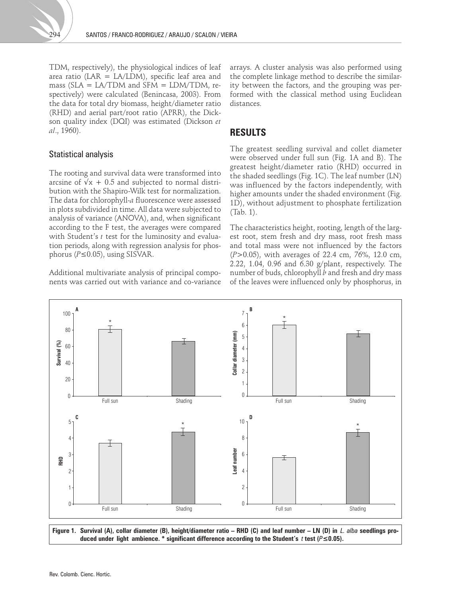TDM, respectively), the physiological indices of leaf area ratio ( $LAR = LA/LDM$ ), specific leaf area and mass ( $SLA = LA/TDM$  and  $SFM = LDM/TDM$ , respectively) were calculated (Benincasa, 2003). From the data for total dry biomass, height/diameter ratio (RHD) and aerial part/root ratio (APRR), the Dickson quality index (DQI) was estimated (Dickson *et al*., 1960).

### Statistical analysis

The rooting and survival data were transformed into arcsine of  $\sqrt{x}$  + 0.5 and subjected to normal distribution with the Shapiro-Wilk test for normalization. The data for chlorophyll-*a* fluorescence were assessed in plots subdivided in time. All data were subjected to analysis of variance (ANOVA), and, when significant according to the F test, the averages were compared with Student's *t* test for the luminosity and evaluation periods, along with regression analysis for phosphorus (*P*≤0.05), using SISVAR.

Additional multivariate analysis of principal components was carried out with variance and co-variance

arrays. A cluster analysis was also performed using the complete linkage method to describe the similarity between the factors, and the grouping was performed with the classical method using Euclidean distances.

## **RESULTS**

The greatest seedling survival and collet diameter were observed under full sun (Fig. 1A and B). The greatest height/diameter ratio (RHD) occurred in the shaded seedlings (Fig. 1C). The leaf number (LN) was influenced by the factors independently, with higher amounts under the shaded environment (Fig. 1D), without adjustment to phosphate fertilization (Tab. 1).

The characteristics height, rooting, length of the largest root, stem fresh and dry mass, root fresh mass and total mass were not influenced by the factors (*P*>0.05), with averages of 22.4 cm, 76%, 12.0 cm, 2.22, 1.04, 0.96 and 6.30 g/plant, respectively. The number of buds, chlorophyll *b* and fresh and dry mass of the leaves were influenced only by phosphorus, in



Figure 1. Survival (A), collar diameter (B), height/diameter ratio – RHD (C) and leaf number – LN (D) in *L. alba* seedlings pro**duced under light ambience. \* significant difference according to the Student's** *t* **test (***P***≤0.05).**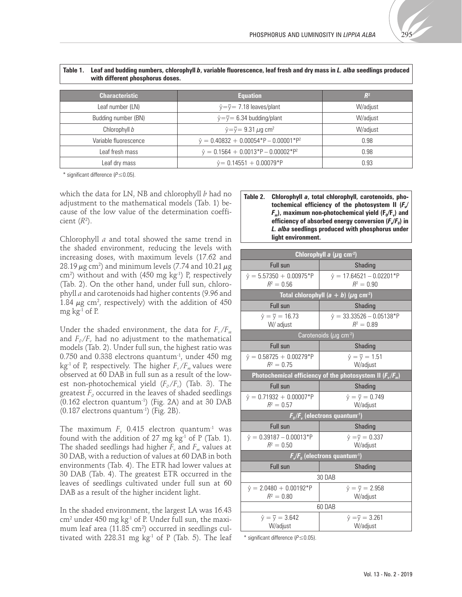

| with different phosphorus doses. |                                                      |          |  |
|----------------------------------|------------------------------------------------------|----------|--|
| <b>Characteristic</b>            | <b>Equation</b>                                      | $R^2$    |  |
| Leaf number (LN)                 | $\hat{y} = \overline{y} = 7.18$ leaves/plant         | W/adjust |  |
| Budding number (BN)              | $\hat{y} = \overline{y} = 6.34$ budding/plant        | W/adjust |  |
| Chlorophyll b                    | $\hat{y} = \overline{y} = 9.31 \,\mu g \text{ cm}^2$ | W/adjust |  |
| Variable fluorescence            | $\hat{y} = 0.40832 + 0.00054*P - 0.00001*P^2$        | 0.98     |  |
| Leaf fresh mass                  | $\hat{y} = 0.1564 + 0.0013*P - 0.00002*P^2$          | 0.98     |  |
| Leaf dry mass                    | $\hat{y} = 0.14551 + 0.00079*P$                      | 0.93     |  |

**Table 1. Leaf and budding numbers, chlorophyll** *b***, variable fluorescence, leaf fresh and dry mass in** *L. alba* **seedlings produced** 

\* significant difference (*P*≤0.05).

which the data for LN, NB and chlorophyll *b* had no adjustment to the mathematical models (Tab. 1) because of the low value of the determination coefficient  $(R<sup>2</sup>)$ .

Chlorophyll *a* and total showed the same trend in the shaded environment, reducing the levels with increasing doses, with maximum levels (17.62 and  $28.19 \,\mu$ g cm<sup>2</sup>) and minimum levels (7.74 and  $10.21 \,\mu$ g cm2 ) without and with (450 mg kg-1) P, respectively (Tab. 2). On the other hand, under full sun, chlorophyll *a* and carotenoids had higher contents (9.96 and 1.84  $\mu$ g cm<sup>2</sup>, respectively) with the addition of 450 mg  $kg<sup>-1</sup>$  of P.

Under the shaded environment, the data for  $F_v/F_m$ and  $F_o/F_v$  had no adjustment to the mathematical models (Tab. 2). Under full sun, the highest ratio was  $0.750$  and  $0.338$  electrons quantum<sup>-1</sup>, under  $450$  mg  $kg<sup>-1</sup>$  of P, respectively. The higher  $F_{\nu}/F_{m}$  values were observed at 60 DAB in full sun as a result of the lowest non-photochemical yield  $(F_o/F_v)$  (Tab. 3). The greatest  $F<sub>0</sub>$  occurred in the leaves of shaded seedlings (0.162 electron quantum-1) (Fig. 2A) and at 30 DAB (0.187 electrons quantum-1) (Fig. 2B).

The maximum  $F_v$  0.415 electron quantum<sup>-1</sup> was found with the addition of 27 mg  $kg<sup>-1</sup>$  of P (Tab. 1). The shaded seedlings had higher  $F_v$  and  $F_w$  values at 30 DAB, with a reduction of values at 60 DAB in both environments (Tab. 4). The ETR had lower values at 30 DAB (Tab. 4). The greatest ETR occurred in the leaves of seedlings cultivated under full sun at 60 DAB as a result of the higher incident light.

In the shaded environment, the largest LA was 16.43  $\rm cm^2$  under 450 mg kg $\rm ^1$  of P. Under full sun, the maximum leaf area (11.85 cm $^2$ ) occurred in seedlings cultivated with 228.31 mg  $kg<sup>-1</sup>$  of P (Tab. 5). The leaf

#### **Table 2. Chlorophyll** *a***, total chlorophyll, carotenoids, pho**tochemical efficiency of the photosystem II ( $F$ ) *F<sub>m</sub>*), maximum non-photochemical vield (F<sub>o</sub>/F<sub>v</sub>) and efficiency of absorbed energy conversion  $(F\mathscr{N}_0)$  in *L. alba* **seedlings produced with phosphorus under light environment.**

| Chlorophyll $a$ ( $\mu$ g cm <sup>-2</sup> )                                      |                                                  |  |  |
|-----------------------------------------------------------------------------------|--------------------------------------------------|--|--|
| <b>Full sun</b>                                                                   | Shading                                          |  |  |
| $\hat{y} = 5.57350 + 0.00975*P$<br>$R^2 = 0.56$                                   | $\hat{y} = 17.64521 - 0.02201*P$<br>$R^2 = 0.90$ |  |  |
| Total chlorophyll $(a + b)$ ( $\mu$ g cm <sup>-2</sup> )                          |                                                  |  |  |
| <b>Full sun</b>                                                                   | Shading                                          |  |  |
| $\hat{y} = \bar{y} = 16.73$<br>W/ adjust                                          | $\hat{y} = 33.33526 - 0.05138*P$<br>$R^2 = 0.89$ |  |  |
| Carotenoids ( $\mu$ g cm <sup>-2</sup> )                                          |                                                  |  |  |
| <b>Full sun</b>                                                                   | Shading                                          |  |  |
| $\hat{y} = 0.58725 + 0.00279*P$<br>$R^2 = 0.75$                                   | $\hat{y} = \bar{y} = 1.51$<br>W/adjust           |  |  |
| Photochemical efficiency of the photosystem II $(F_v/F_m)$                        |                                                  |  |  |
| Full sun                                                                          | Shading                                          |  |  |
| $\hat{v} = 0.71932 + 0.00007*P$<br>$R^2 = 0.57$                                   | $\hat{y} = \bar{y} = 0.749$<br>W/adjust          |  |  |
| $F_{\textit{o}}/F_{\textit{v}}$ (electrons quantum <sup>-1</sup> )                |                                                  |  |  |
| <b>Full sun</b>                                                                   | Shading                                          |  |  |
| $\hat{y} = 0.39187 - 0.00013*P$<br>$R^2 = 0.50$                                   | $\hat{y} = \bar{y} = 0.337$<br>W/adjust          |  |  |
| $F_{\checkmark}/F_{\scriptscriptstyle \theta}$ (electrons quantum <sup>-1</sup> ) |                                                  |  |  |
| <b>Full sun</b>                                                                   | Shading                                          |  |  |
| 30 DAB                                                                            |                                                  |  |  |
| $\hat{y} = 2.0480 + 0.00192*P$<br>$R^2 = 0.80$                                    | $\hat{y} = \overline{y} = 2.958$<br>W/adjust     |  |  |
| 60 DAB                                                                            |                                                  |  |  |
| $\hat{y} = \bar{y} = 3.642$<br>W/adjust                                           | $\hat{y} = \bar{y} = 3.261$<br>W/adjust          |  |  |

\* significant difference (*P*≤0.05).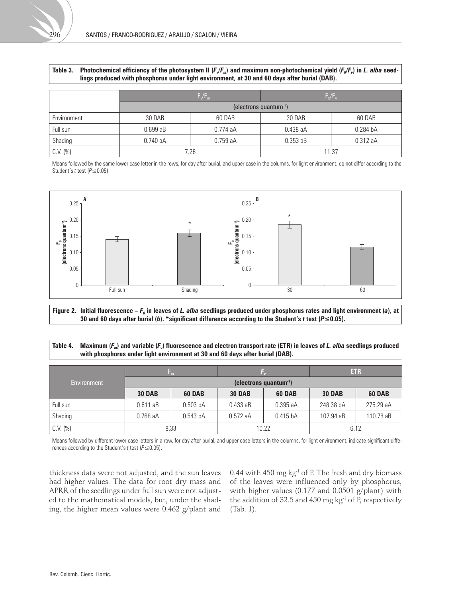| lings produced with phosphorus under light environment, at 30 and 60 days after burial (DAB). |                                      |         |            |                     |
|-----------------------------------------------------------------------------------------------|--------------------------------------|---------|------------|---------------------|
|                                                                                               | F/F <sub>m</sub>                     |         | $F_0/F_v$  |                     |
|                                                                                               | $(electrons$ quantum <sup>-1</sup> ) |         |            |                     |
| Environment                                                                                   | 30 DAB                               | 60 DAB  | 30 DAB     | 60 DAB              |
| Full sun                                                                                      | 0.699aB                              | 0.774aA | $0.438$ aA | 0.284 <sub>bA</sub> |
| Shading                                                                                       | 0.740aA                              | 0.759aA | $0.353$ aB | 0.312aA             |
| C.V. (%)                                                                                      | 7.26                                 |         |            | 11.37               |

Table 3. Photochemical efficiency of the photosystem II (*F<sub>V</sub>F<sub>m</sub>*) and maximum non-photochemical yield (*F<sub>o</sub>/F<sub>v</sub>*) in *L. alba* seed-

Means followed by the same lower case letter in the rows, for day after burial, and upper case in the columns, for light environment, do not differ according to the Student's *t* test (*P*≤0.05).



Figure 2. Initial fluorescence –  $F_o$  in leaves of *L. alba* seedlings produced under phosphorus rates and light environment (*a*), at **30 and 60 days after burial (***b***). \*significant difference according to the Student's** *t* **test (***P***≤0.05).**

**Table 4. Maximum (***Fm***) and variable (***Fv***) fluorescence and electron transport rate (ETR) in leaves of** *L. alba* **seedlings produced with phosphorus under light environment at 30 and 60 days after burial (DAB).** 

|             |                              | Emb                 |               |            |               | <b>ETR</b>    |
|-------------|------------------------------|---------------------|---------------|------------|---------------|---------------|
| Environment | (electrons quantum $^{-1}$ ) |                     |               |            |               |               |
|             | <b>30 DAB</b>                | <b>60 DAB</b>       | <b>30 DAB</b> | 60 DAB     | <b>30 DAB</b> | <b>60 DAB</b> |
| Full sun    | 0.611aB                      | 0.503 <sub>bA</sub> | 0.433aB       | 0.395aA    | 248.38 bA     | 275.29 aA     |
| Shading     | $0.768$ aA                   | 0.543 <sub>bA</sub> | 0.572aA       | $0.415$ bA | 107.94 aB     | 110.78 aB     |
| C.V. (%)    |                              | 8.33                |               | 10.22      |               | 6.12          |

Means followed by different lower case letters in a row, for day after burial, and upper case letters in the columns, for light environment, indicate significant differences according to the Student's *t* test (*P*≤0.05).

thickness data were not adjusted, and the sun leaves had higher values. The data for root dry mass and APRR of the seedlings under full sun were not adjusted to the mathematical models, but, under the shading, the higher mean values were 0.462 g/plant and 0.44 with 450 mg  $kg<sup>-1</sup>$  of P. The fresh and dry biomass of the leaves were influenced only by phosphorus, with higher values (0.177 and 0.0501 g/plant) with the addition of 32.5 and 450 mg  $kg<sup>-1</sup>$  of P, respectively (Tab. 1).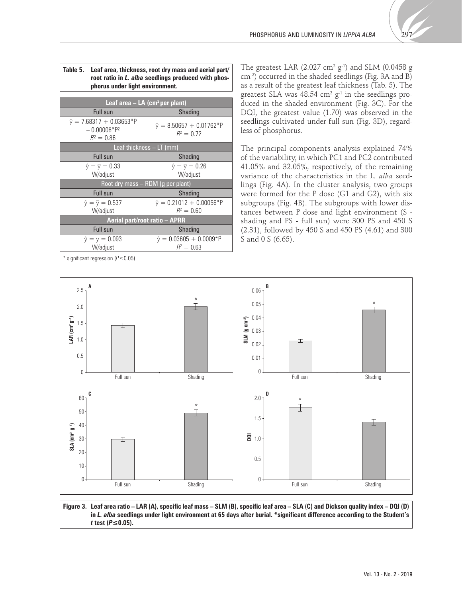

| Table 5. Leaf area, thickness, root dry mass and aerial part/ |
|---------------------------------------------------------------|
| root ratio in L. alba seedlings produced with phos-           |
| phorus under light environment.                               |

| Leaf area $-$ LA (cm <sup>2</sup> per plant)                      |                                                 |  |
|-------------------------------------------------------------------|-------------------------------------------------|--|
| Full sun                                                          | Shading                                         |  |
| $\hat{v} = 7.68317 + 0.03653*P$<br>$-0.00008*P^2$<br>$R^2 = 0.86$ | $\hat{y} = 8.50657 + 0.01762*P$<br>$R^2 = 0.72$ |  |
| Leaf thickness $- LT$ (mm)                                        |                                                 |  |
| Full sun                                                          | Shading                                         |  |
| $\hat{v} = \overline{v} = 0.33$                                   | $\hat{v} = \overline{v} = 0.26$                 |  |
| W/adjust                                                          | W/adjust                                        |  |
| Root dry mass - RDM (g per plant)                                 |                                                 |  |
| Full sun                                                          | <b>Shading</b>                                  |  |
| $\hat{y} = \bar{y} = 0.537$                                       | $\hat{y} = 0.21012 + 0.00056*P$                 |  |
| W/adjust                                                          | $R^2 = 0.60$                                    |  |
| Aerial part/root ratio - APRR                                     |                                                 |  |
| Full sun                                                          | <b>Shading</b>                                  |  |
| $\hat{y} = \bar{y} = 0.093$                                       | $\hat{y} = 0.03605 + 0.0009*P$                  |  |
| W/adjust                                                          | $R^2 = 0.63$                                    |  |

\* significant regression (*P*≤0.05)

The greatest LAR (2.027 cm<sup>2</sup> g<sup>-1</sup>) and SLM (0.0458 g cm-2) occurred in the shaded seedlings (Fig. 3A and B) as a result of the greatest leaf thickness (Tab. 5). The greatest SLA was 48.54  $\rm cm^2~g^{\text{-}1}$  in the seedlings produced in the shaded environment (Fig. 3C). For the DQI, the greatest value (1.70) was observed in the seedlings cultivated under full sun (Fig. 3D), regardless of phosphorus.

The principal components analysis explained 74% of the variability, in which PC1 and PC2 contributed 41.05% and 32.05%, respectively, of the remaining variance of the characteristics in the L*. alba* seedlings (Fig. 4A). In the cluster analysis, two groups were formed for the P dose (G1 and G2), with six subgroups (Fig. 4B). The subgroups with lower distances between P dose and light environment (S shading and PS - full sun) were 300 PS and 450 S (2.31), followed by 450 S and 450 PS (4.61) and 300 S and 0 S (6.65).



**Figure 3. Leaf area ratio – LAR (A), specific leaf mass – SLM (B), specific leaf area – SLA (C) and Dickson quality index – DQI (D) in** *L. alba* **seedlings under light environment at 65 days after burial. \*significant difference according to the Student's**  *t* **test (***P***≤0.05).**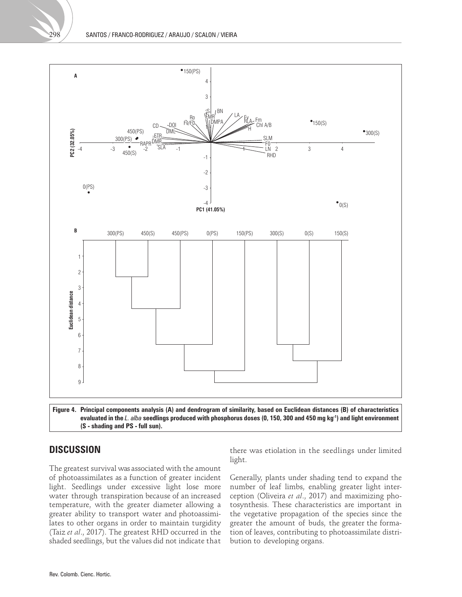

**(S - shading and PS - full sun).**

## **DISCUSSION**

The greatest survival was associated with the amount of photoassimilates as a function of greater incident light. Seedlings under excessive light lose more water through transpiration because of an increased temperature, with the greater diameter allowing a greater ability to transport water and photoassimilates to other organs in order to maintain turgidity (Taiz *et al*., 2017). The greatest RHD occurred in the shaded seedlings, but the values did not indicate that

there was etiolation in the seedlings under limited light.

Generally, plants under shading tend to expand the number of leaf limbs, enabling greater light interception (Oliveira *et al*., 2017) and maximizing photosynthesis. These characteristics are important in the vegetative propagation of the species since the greater the amount of buds, the greater the formation of leaves, contributing to photoassimilate distribution to developing organs.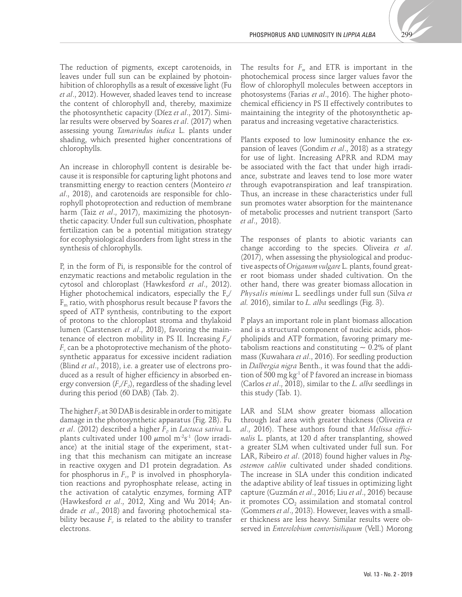

The reduction of pigments, except carotenoids, in leaves under full sun can be explained by photoinhibition of chlorophylls as a result of excessive light (Fu *et al*., 2012). However, shaded leaves tend to increase the content of chlorophyll and, thereby, maximize the photosynthetic capacity (Díez *et al*., 2017). Similar results were observed by Soares *et al*. (2017) when assessing young *Tamarindus indica* L. plants under shading, which presented higher concentrations of chlorophylls.

An increase in chlorophyll content is desirable because it is responsible for capturing light photons and transmitting energy to reaction centers (Monteiro *et al*., 2018), and carotenoids are responsible for chlorophyll photoprotection and reduction of membrane harm (Taiz *et al*., 2017), maximizing the photosynthetic capacity. Under full sun cultivation, phosphate fertilization can be a potential mitigation strategy for ecophysiological disorders from light stress in the synthesis of chlorophylls.

P, in the form of Pi, is responsible for the control of enzymatic reactions and metabolic regulation in the cytosol and chloroplast (Hawkesford *et al*., 2012). Higher photochemical indicators, especially the  $F_{\nu}$  $F<sub>m</sub>$  ratio, with phosphorus result because P favors the speed of ATP synthesis, contributing to the export of protons to the chloroplast stroma and thylakoid lumen (Carstensen *et al*., 2018), favoring the maintenance of electron mobility in PS II. Increasing  $F_{\text{o}}/$  $F_{\nu}$  can be a photoprotective mechanism of the photosynthetic apparatus for excessive incident radiation (Blind *et al*., 2018), i.e. a greater use of electrons produced as a result of higher efficiency in absorbed energy conversion  $(F_v/F_o)$ , regardless of the shading level during this period (60 DAB) (Tab. 2).

The higher  $F<sub>0</sub>$  at 30 DAB is desirable in order to mitigate damage in the photosynthetic apparatus (Fig. 2B). Fu *et al.* (2012) described a higher  $F<sub>o</sub>$  in *Lactuca sativa* L. plants cultivated under 100  $\mu$ mol m<sup>-2</sup>s<sup>-1</sup> (low irradiance) at the initial stage of the experiment, stating that this mechanism can mitigate an increase in reactive oxygen and D1 protein degradation. As for phosphorus in  $F_{v}$ , P is involved in phosphorylation reactions and pyrophosphate release, acting in the activation of catalytic enzymes, forming ATP (Hawkesford *et al*., 2012, Xing and Wu 2014; Andrade *et al*., 2018) and favoring photochemical stability because  $F_\nu$  is related to the ability to transfer electrons.

The results for  $F_m$  and ETR is important in the photochemical process since larger values favor the flow of chlorophyll molecules between acceptors in photosystems (Farias *et al*., 2016). The higher photochemical efficiency in PS II effectively contributes to maintaining the integrity of the photosynthetic apparatus and increasing vegetative characteristics.

Plants exposed to low luminosity enhance the expansion of leaves (Gondim *et al*., 2018) as a strategy for use of light. Increasing APRR and RDM may be associated with the fact that under high irradiance, substrate and leaves tend to lose more water through evapotranspiration and leaf transpiration. Thus, an increase in these characteristics under full sun promotes water absorption for the maintenance of metabolic processes and nutrient transport (Sarto *et al*., 2018).

The responses of plants to abiotic variants can change according to the species. Oliveira *et al*. (2017), when assessing the physiological and productive aspects of *Origanum vulgare* L. plants, found greater root biomass under shaded cultivation. On the other hand, there was greater biomass allocation in *Physalis minima* L. seedlings under full sun (Silva *et al.* 2016), similar to *L. alba* seedlings (Fig. 3).

P plays an important role in plant biomass allocation and is a structural component of nucleic acids, phospholipids and ATP formation, favoring primary metabolism reactions and constituting  $\sim 0.2\%$  of plant mass (Kuwahara *et al*., 2016). For seedling production in *Dalbergia nigra* Benth., it was found that the addition of 500 mg  $kg<sup>-1</sup>$  of P favored an increase in biomass (Carlos *et al*., 2018), similar to the *L. alba* seedlings in this study (Tab. 1).

LAR and SLM show greater biomass allocation through leaf area with greater thickness (Oliveira *et al*., 2016). These authors found that *Melissa officinalis* L. plants, at 120 d after transplanting, showed a greater SLM when cultivated under full sun. For LAR, Ribeiro *et al*. (2018) found higher values in *Pogostemon cablin* cultivated under shaded conditions. The increase in SLA under this condition indicated the adaptive ability of leaf tissues in optimizing light capture (Guzmán *et al*., 2016; Liu *et al*., 2016) because it promotes  $CO<sub>2</sub>$  assimilation and stomatal control (Gommers *et al*., 2013). However, leaves with a smaller thickness are less heavy. Similar results were observed in *Enterolobium contortisiliquum* (Vell.) Morong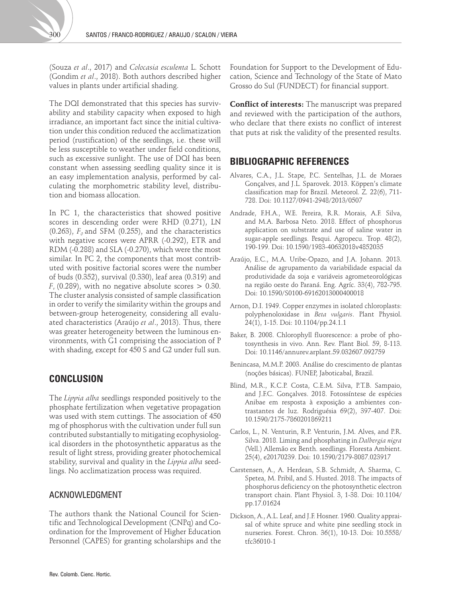(Souza *et al*., 2017) and *Colocasia esculenta* L. Schott (Gondim *et al*., 2018). Both authors described higher values in plants under artificial shading.

The DQI demonstrated that this species has survivability and stability capacity when exposed to high irradiance, an important fact since the initial cultivation under this condition reduced the acclimatization period (rustification) of the seedlings, i.e. these will be less susceptible to weather under field conditions, such as excessive sunlight. The use of DQI has been constant when assessing seedling quality since it is an easy implementation analysis, performed by calculating the morphometric stability level, distribution and biomass allocation.

In PC 1, the characteristics that showed positive scores in descending order were RHD (0.271), LN  $(0.263)$ ,  $F<sub>o</sub>$  and SFM  $(0.255)$ , and the characteristics with negative scores were APRR (-0.292), ETR and RDM (-0.288) and SLA (-0.270), which were the most similar. In PC 2, the components that most contributed with positive factorial scores were the number of buds (0.352), survival (0.330), leaf area (0.319) and  $F_{\nu}$  (0.289), with no negative absolute scores  $> 0.30$ . The cluster analysis consisted of sample classification in order to verify the similarity within the groups and between-group heterogeneity, considering all evaluated characteristics (Araújo *et al*., 2013). Thus, there was greater heterogeneity between the luminous environments, with G1 comprising the association of P with shading, except for 450 S and G2 under full sun.

## **CONCLUSION**

The *Lippia alba* seedlings responded positively to the phosphate fertilization when vegetative propagation was used with stem cuttings. The association of 450 mg of phosphorus with the cultivation under full sun contributed substantially to mitigating ecophysiological disorders in the photosynthetic apparatus as the result of light stress, providing greater photochemical stability, survival and quality in the *Lippia alba* seedlings. No acclimatization process was required.

### ACKNOWLEDGMENT

The authors thank the National Council for Scientific and Technological Development (CNPq) and Coordination for the Improvement of Higher Education Personnel (CAPES) for granting scholarships and the

Foundation for Support to the Development of Education, Science and Technology of the State of Mato Grosso do Sul (FUNDECT) for financial support.

**Conflict of interests:** The manuscript was prepared and reviewed with the participation of the authors, who declare that there exists no conflict of interest that puts at risk the validity of the presented results.

## **BIBLIOGRAPHIC REFERENCES**

- Alvares, C.A., J.L. Stape, P.C. Sentelhas, J.L. de Moraes Gonçalves, and J.L. Sparovek. 2013. Köppen's climate classification map for Brazil. Meteorol. Z*.* 22(6), 711- 728. Doi: [10.1127/0941-2948/2013/0507](https://doi.org/10.1127/0941-2948/2013/0507)
- Andrade, F.H.A., W.E. Pereira, R.R. Morais, A.F. Silva, and M.A. Barbosa Neto. 2018. Effect of phosphorus application on substrate and use of saline water in sugar-apple seedlings. Pesqui. Agropecu. Trop. 48(2), 190-199. Doi: [10.1590/1983-40632018v4852035](https://doi.org/10.1590/1983-40632018v4852035)
- Araújo, E.C., M.A. Uribe-Opazo, and J.A. Johann. 2013. Análise de agrupamento da variabilidade espacial da produtividade da soja e variáveis agrometeorológicas na região oeste do Paraná. Eng. Agríc. 33(4), 782-795. Doi: [10.1590/S0100-69162013000400018](https://doi.org/10.1590/S0100-69162013000400018)
- Arnon, D.I. 1949. Copper enzymes in isolated chloroplasts: polyphenoloxidase in *Beta vulgaris*. Plant Physiol. 24(1), 1-15. Doi: [10.1104/pp.24.1.1](https://doi.org/10.1104/pp.24.1.1)
- Baker, B. 2008. Chlorophyll fluorescence: a probe of photosynthesis in vivo. Ann. Rev. Plant Biol. 59, 8-113. Doi: [10.1146/annurev.arplant.59.032607.092759](https://doi.org/10.1146/annurev.arplant.59.032607.092759)
- Benincasa, M.M.P. 2003. Análise do crescimento de plantas (noções básicas). FUNEP, Jaboticabal, Brazil.
- Blind, M.R., K.C.P. Costa, C.E.M. Silva, P.T.B. Sampaio, and J.F.C. Gonçalves. 2018. Fotossíntese de espécies Anibae em resposta à exposição a ambientes contrastantes de luz. Rodriguésia 69(2), 397-407. Doi: [10.1590/2175-7860201869211](https://doi.org/10.1590/2175-7860201869211)
- Carlos, L., N. Venturin, R.P. Venturin, J.M. Alves, and P.R. Silva. 2018. Liming and phosphating in *Dalbergia nigra*  (Vell.) Allemão ex Benth. seedlings. Floresta Ambient. 25(4), e20170239. Doi: [10.1590/2179-8087.023917](https://doi.org/10.1590/2179-8087.023917)
- Carstensen, A., A. Herdean, S.B. Schmidt, A. Sharma, C. Spetea, M. Pribil, and S. Husted. 2018. The impacts of phosphorus deficiency on the photosynthetic electron transport chain. Plant Physiol. 3, 1-38. Doi: [10.1104/](https://doi.org/10.1104/pp.17.01624) [pp.17.01624](https://doi.org/10.1104/pp.17.01624)
- Dickson, A., A.L. Leaf, and J.F. Hosner. 1960. Quality appraisal of white spruce and white pine seedling stock in nurseries. Forest. Chron. 36(1), 10-13. Doi: [10.5558/](http://dx.doi.org/10.5558/tfc36010-1) [tfc36010-1](http://dx.doi.org/10.5558/tfc36010-1)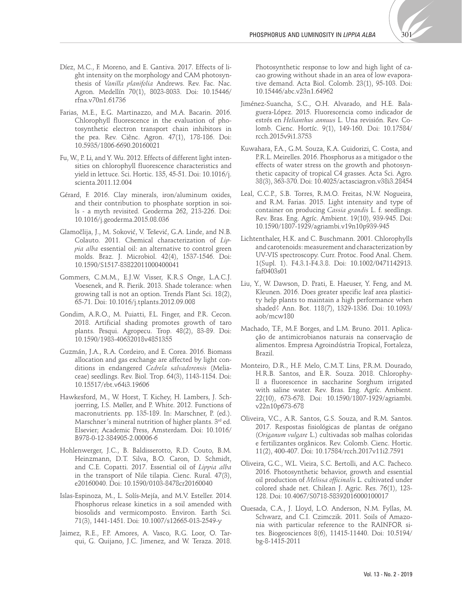

- Díez, M.C., F. Moreno, and E. Gantiva. 2017. Effects of light intensity on the morphology and CAM photosynthesis of *Vanilla planifolia* Andrews. Rev. Fac. Nac. Agron. Medellín 70(1), 8023-8033. Doi: [10.15446/](https://doi.org/10.15446/rfna.v70n1.61736) [rfna.v70n1.61736](https://doi.org/10.15446/rfna.v70n1.61736)
- Farias, M.E., E.G. Martinazzo, and M.A. Bacarin. 2016. Chlorophyll fluorescence in the evaluation of photosynthetic electron transport chain inhibitors in the pea. Rev. Ciênc. Agron. 47(1), 178-186. Doi: [10.5935/1806-6690.20160021](https://doi.org/10.5935/1806-6690.20160021)
- Fu, W., P. Li, and Y. Wu. 2012. Effects of different light intensities on chlorophyll fluorescence characteristics and yield in lettuce. Sci. Hortic. 135, 45-51. Doi: [10.1016/j.](https://doi.org/10.1016/j.scienta.2011.12.004) [scienta.2011.12.004](https://doi.org/10.1016/j.scienta.2011.12.004)
- Gérard, F. 2016. Clay minerals, iron/aluminum oxides, and their contribution to phosphate sorption in soils - a myth revisited. Geoderma 262, 213-226. Doi: [10.1016/j.geoderma.2015.08.036](https://doi.org/10.1016/j.geoderma.2015.08.036)
- Glamočlija, J., M. Soković, V. Tešević, G.A. Linde, and N.B. Colauto. 2011. Chemical characterization of *Lippia alba* essential oil: an alternative to control green molds. Braz. J. Microbiol. 42(4), 1537-1546. Doi: [10.1590/S1517-83822011000400041](https://doi.org/10.1590/S1517-83822011000400041)
- Gommers, C.M.M., E.J.W. Visser, K.R.S Onge, L.A.C.J. Voesenek, and R. Pierik. 2013. Shade tolerance: when growing tall is not an option. Trends Plant Sci. 18(2), 65-71. Doi: [10.1016/j.tplants.2012.09.008](https://doi.org/10.1016/j.tplants.2012.09.008)
- Gondim, A.R.O., M. Puiatti, F.L. Finger, and P.R. Cecon. 2018. Artificial shading promotes growth of taro plants. Pesqui. Agropecu. Trop. 48(2), 83-89. Doi: [10.1590/1983-40632018v4851355](https://doi.org/10.1590/1983-40632018v4851355)
- Guzmán, J.A., R.A. Cordeiro, and E. Corea. 2016. Biomass allocation and gas exchange are affected by light conditions in endangered *Cedrela salvadorensis* (Meliaceae) seedlings. Rev. Biol. Trop. 64(3), 1143-1154. Doi: [10.15517/rbt.v64i3.19606](https://doi.org/10.15517/rbt.v64i3.19606)
- Hawkesford, M., W. Horst, T. Kichey, H. Lambers, J. Schjoerring, I.S. Møller, and P. White. 2012. Functions of macronutrients. pp. 135-189. In: Marschner, P. (ed.). Marschner's mineral nutrition of higher plants. 3rd ed. Elsevier; Academic Press, Amsterdam. Doi: [10.1016/](https://doi.org/10.1016/B978-0-12-384905-2.00006-6) [B978-0-12-384905-2.00006-6](https://doi.org/10.1016/B978-0-12-384905-2.00006-6)
- Hohlenwerger, J.C., B. Baldisserotto, R.D. Couto, B.M. Heinzmann, D.T. Silva, B.O. Caron, D. Schmidt, and C.E. Copatti. 2017. Essential oil of *Lippia alba*  in the transport of Nile tilapia. Cienc. Rural. 47(3), e20160040. Doi: [10.1590/0103-8478cr20160040](https://doi.org/10.1590/0103-8478cr20160040)
- Islas-Espinoza, M., L. Solís-Mejía, and M.V. Esteller. 2014. Phosphorus release kinetics in a soil amended with biosolids and vermicomposto. Environ. Earth Sci. 71(3), 1441-1451. Doi: [10.1007/s12665-013-2549-y](https://doi.org/10.1007/s12665-013-2549-y)
- Jaimez, R.E., F.P. Amores, A. Vasco, R.G. Loor, O. Tarqui, G. Quijano, J.C. Jimenez, and W. Teraza. 2018.

Photosynthetic response to low and high light of cacao growing without shade in an area of low evaporative demand. Acta Biol. Colomb. 23(1), 95-103. Doi: [10.15446/abc.v23n1.64962](https://doi.org/10.15446/abc.v23n1.64962)

- Jiménez-Suancha, S.C., O.H. Alvarado, and H.E. Balaguera-López. 2015. Fluorescencia como indicador de estrés en *Helianthus annuus* L. Una revisión. Rev. Colomb. Cienc. Hortíc. 9(1), 149-160. Doi: [10.17584/](https://doi.org/10.17584/rcch.2015v9i1.3753) [rcch.2015v9i1.3753](https://doi.org/10.17584/rcch.2015v9i1.3753)
- Kuwahara, F.A., G.M. Souza, K.A. Guidorizi, C. Costa, and P.R.L. Meirelles. 2016. Phosphorus as a mitigador o the effects of water stress on the growth and photosynthetic capacity of tropical C4 grasses. Acta Sci. Agro. 38(3), 363-370. Doi: [10.4025/actasciagron.v38i3.28454](https://doi.org/10.4025/actasciagron.v38i3.28454)
- Leal, C.C.P., S.B. Torres, R.M.O. Freitas, N.W. Nogueira, and R.M. Farias. 2015. Light intensity and type of container on producing *Cassia grandis* L. f. seedlings. Rev. Bras. Eng. Agríc. Ambient. 19(10), 939-945. Doi: [10.1590/1807-1929/agriambi.v19n10p939-945](https://doi.org/10.1590/1807-1929/agriambi.v19n10p939-945)
- Lichtenthaler, H.K. and C. Buschmann. 2001. Chlorophylls and carotenoids: measurement and characterization by UV-VIS spectroscopy. Curr. Protoc. Food Anal. Chem. 1(Supl. 1). F4.3.1-F4.3.8. Doi: [10.1002/0471142913.](https://doi.org/10.1002/0471142913.faf0403s01) [faf0403s01](https://doi.org/10.1002/0471142913.faf0403s01)
- Liu, Y., W. Dawson, D. Prati, E. Haeuser, Y. Feng, and M. Kleunen. 2016. Does greater specific leaf area plasticity help plants to maintain a high performance when shaded? Ann. Bot. 118(7), 1329-1336. Doi: [10.1093/](https://doi.org/10.1093/aob/mcw180) [aob/mcw180](https://doi.org/10.1093/aob/mcw180)
- Machado, T.F., M.F. Borges, and L.M. Bruno. 2011. Aplicação de antimicrobianos naturais na conservação de alimentos. Empresa Agroindústria Tropical, Fortaleza, Brazil.
- Monteiro, D.R., H.F. Melo, C.M.T. Lins, P.R.M. Dourado, H.R.B. Santos, and E.R. Souza. 2018. Chlorophyll a fluorescence in saccharine Sorghum irrigated with saline water. Rev. Bras. Eng. Agríc. Ambient. 22(10), 673-678. Doi: [10.1590/1807-1929/agriambi.](https://doi.org/10.1590/1807-1929/agriambi.v22n10p673-678) [v22n10p673-678](https://doi.org/10.1590/1807-1929/agriambi.v22n10p673-678)
- Oliveira, V.C., A.R. Santos, G.S. Souza, and R.M. Santos. 2017. Respostas fisiológicas de plantas de orégano (*Origanum vulgare* L.) cultivadas sob malhas coloridas e fertilizantes orgânicos. Rev. Colomb. Cienc. Hortic. 11(2), 400-407. Doi: [10.17584/rcch.2017v11i2.7591](https://doi.org/10.17584/rcch.2017v11i2.7591)
- Oliveira, G.C., W.L. Vieira, S.C. Bertolli, and A.C. Pacheco. 2016. Photosynthetic behavior, growth and essential oil production of *Melissa officinalis* L. cultivated under colored shade net. Chilean J. Agric. Res. 76(1), 123- 128. Doi: [10.4067/S0718-58392016000100017](https://doi.org/10.4067/S0718-58392016000100017)
- Quesada, C.A., J. Lloyd, L.O. Anderson, N.M. Fyllas, M. Schwarz, and C.I. Czimczik. 2011. Soils of Amazonia with particular reference to the RAINFOR sites. Biogeosciences 8(6), 11415-11440. Doi: [10.5194/](https://doi.org/10.5194/bg-8-1415-2011) [bg-8-1415-2011](https://doi.org/10.5194/bg-8-1415-2011)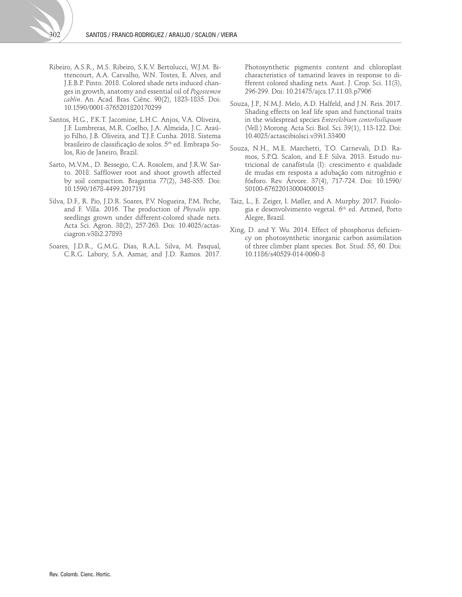- Ribeiro, A.S.R., M.S. Ribeiro, S.K.V. Bertolucci, W.J.M. Bittencourt, A.A. Carvalho, W.N. Tostes, E. Alves, and J.E.B.P. Pinto. 2018. Colored shade nets induced changes in growth, anatomy and essential oil of *Pogostemon cablin*. An. Acad. Bras. Ciênc. 90(2), 1823-1835. Doi: [10.1590/0001-3765201820170299](https://doi.org/10.1590/0001-3765201820170299)
- Santos, H.G., P.K.T. Jacomine, L.H.C. Anjos, V.A. Oliveira, J.F. Lumbreras, M.R. Coelho, J.A. Almeida, J.C. Araújo Filho, J.B. Oliveira, and T.J.F. Cunha. 2018. Sistema brasileiro de classificação de solos. 5th ed. Embrapa Solos, Rio de Janeiro, Brazil.
- Sarto, M.V.M., D. Bessegio, C.A. Rosolem, and J.R.W. Sarto. 2018. Safflower root and shoot growth affected by soil compaction. Bragantia 77(2), 348-355. Doi: [10.1590/1678-4499.2017191](https://doi.org/10.1590/1678-4499.2017191)
- Silva, D.F., R. Pio, J.D.R. Soares, P.V. Nogueira, P.M. Peche, and F. Villa. 2016. The production of *Physalis* spp. seedlings grown under different-colored shade nets. Acta Sci. Agron. 38(2), 257-263. Doi: [10.4025/actas](https://doi.org/10.4025/actasciagron.v38i2.27893)[ciagron.v38i2.27893](https://doi.org/10.4025/actasciagron.v38i2.27893)
- Soares, J.D.R., G.M.G. Dias, R.A.L. Silva, M. Pasqual, C.R.G. Labory, S.A. Asmar, and J.D. Ramos. 2017.

Photosynthetic pigments content and chloroplast characteristics of tamarind leaves in response to different colored shading nets. Aust. J. Crop. Sci. 11(3), 296-299. Doi: [10.21475/ajcs.17.11.03.p7906](https://doi.org/10.21475/ajcs.17.11.03.p7906)

- Souza, J.P., N.M.J. Melo, A.D. Halfeld, and J.N. Reis. 2017. Shading effects on leaf life span and functional traits in the widespread species *Enterolobium contorlisiliquum*  (Vell.) Morong. Acta Sci. Biol. Sci. 39(1), 113-122. Doi: [10.4025/actascibiolsci.v39i1.33400](https://doi.org/10.4025/actascibiolsci.v39i1.33400)
- Souza, N.H., M.E. Marchetti, T.O. Carnevali, D.D. Ramos, S.P.Q. Scalon, and E.F. Silva. 2013. Estudo nutricional de canafístula (I): crescimento e qualidade de mudas em resposta a adubação com nitrogênio e fósforo. Rev. Árvore. 37(4), 717-724. Doi: [10.1590/](https://doi.org/10.1590/S0100-67622013000400015) [S0100-67622013000400015](https://doi.org/10.1590/S0100-67622013000400015)
- Taiz, L., E. Zeiger, I. Møller, and A. Murphy. 2017. Fisiologia e desenvolvimento vegetal. 6th ed. Artmed, Porto Alegre, Brazil.
- Xing, D. and Y. Wu. 2014. Effect of phosphorus deficiency on photosynthetic inorganic carbon assimilation of three climber plant species. Bot. Stud. 55, 60. Doi: [10.1186/s40529-014-0060-8](https://doi.org/10.1186/s40529-014-0060-8)